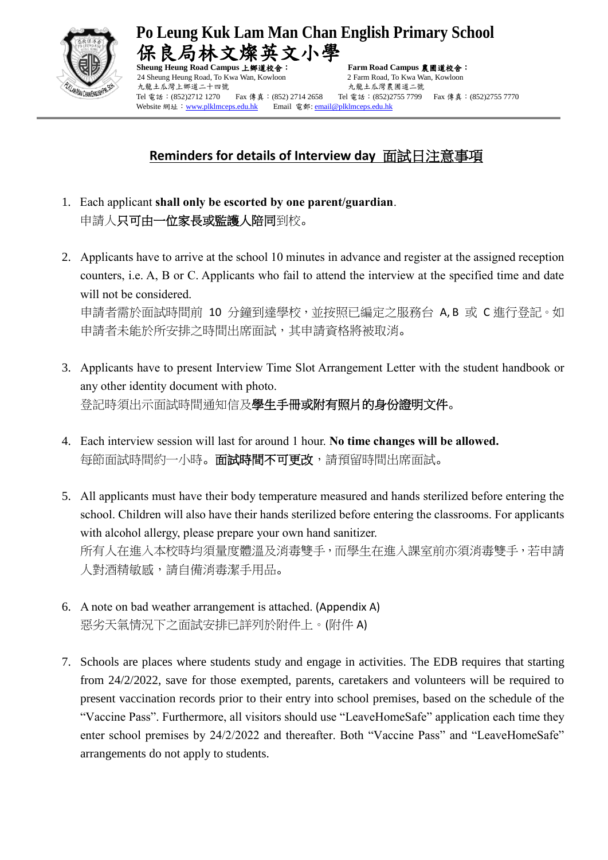

**Po Leung Kuk Lam Man Chan English Primary School**  局林文燦英文小學

24 Sheung Heung Road, To Kwa Wan, Kowloon 2 Farm Road, To Kwa Wan, Kowloon 九龍土瓜灣上鄉道二十四號 有一個 不能出现 人龍土瓜灣農圃道二號 Tel 電話: (852)2712 1270 Fax 傳真: (852) 2714 2658 Tel 電話: (852)2755 7799 Fax 傳真: (852)2755 7770 Website 網址: [www.plklmceps.edu.hk](http://www.plklmceps.edu.hk/) Email 電郵[: email@plklmceps.edu.hk](mailto:email@plklmceps.edu.hk)

**Sheung Heung Road Campus** 上鄉道校舍: **Farm Road Campus** 農圃道校舍:

## **Reminders for details of Interview day** 面試日注意事項

- 1. Each applicant **shall only be escorted by one parent/guardian**. 申請人只可由一位家長或監護人陪同到校。
- 2. Applicants have to arrive at the school 10 minutes in advance and register at the assigned reception counters, i.e. A, B or C. Applicants who fail to attend the interview at the specified time and date will not be considered. 申請者需於面試時間前 10 分鐘到達學校,並按照已編定之服務台 A, B 或 C 進行登記。如 申請者未能於所安排之時間出席面試,其申請資格將被取消。
- 3. Applicants have to present Interview Time Slot Arrangement Letter with the student handbook or any other identity document with photo. 登記時須出示面試時間通知信及學生手冊或附有照片的身份證明文件。
- 4. Each interview session will last for around 1 hour. **No time changes will be allowed.** 每節面試時間約一小時。 面試時間不可更改,請預留時間出席面試。
- 5. All applicants must have their body temperature measured and hands sterilized before entering the school. Children will also have their hands sterilized before entering the classrooms. For applicants with alcohol allergy, please prepare your own hand sanitizer. 所有人在進入本校時均須量度體溫及消毒雙手,而學生在進入課室前亦須消毒雙手,若申請 人對酒精敏感,請自備消毒潔手用品。
- 6. A note on bad weather arrangement is attached. (Appendix A) 惡劣天氣情況下之面試安排已詳列於附件上。(附件 A)
- 7. Schools are places where students study and engage in activities. The EDB requires that starting from 24/2/2022, save for those exempted, parents, caretakers and volunteers will be required to present vaccination records prior to their entry into school premises, based on the schedule of the "Vaccine Pass". Furthermore, all visitors should use "LeaveHomeSafe" application each time they enter school premises by 24/2/2022 and thereafter. Both "Vaccine Pass" and "LeaveHomeSafe" arrangements do not apply to students.